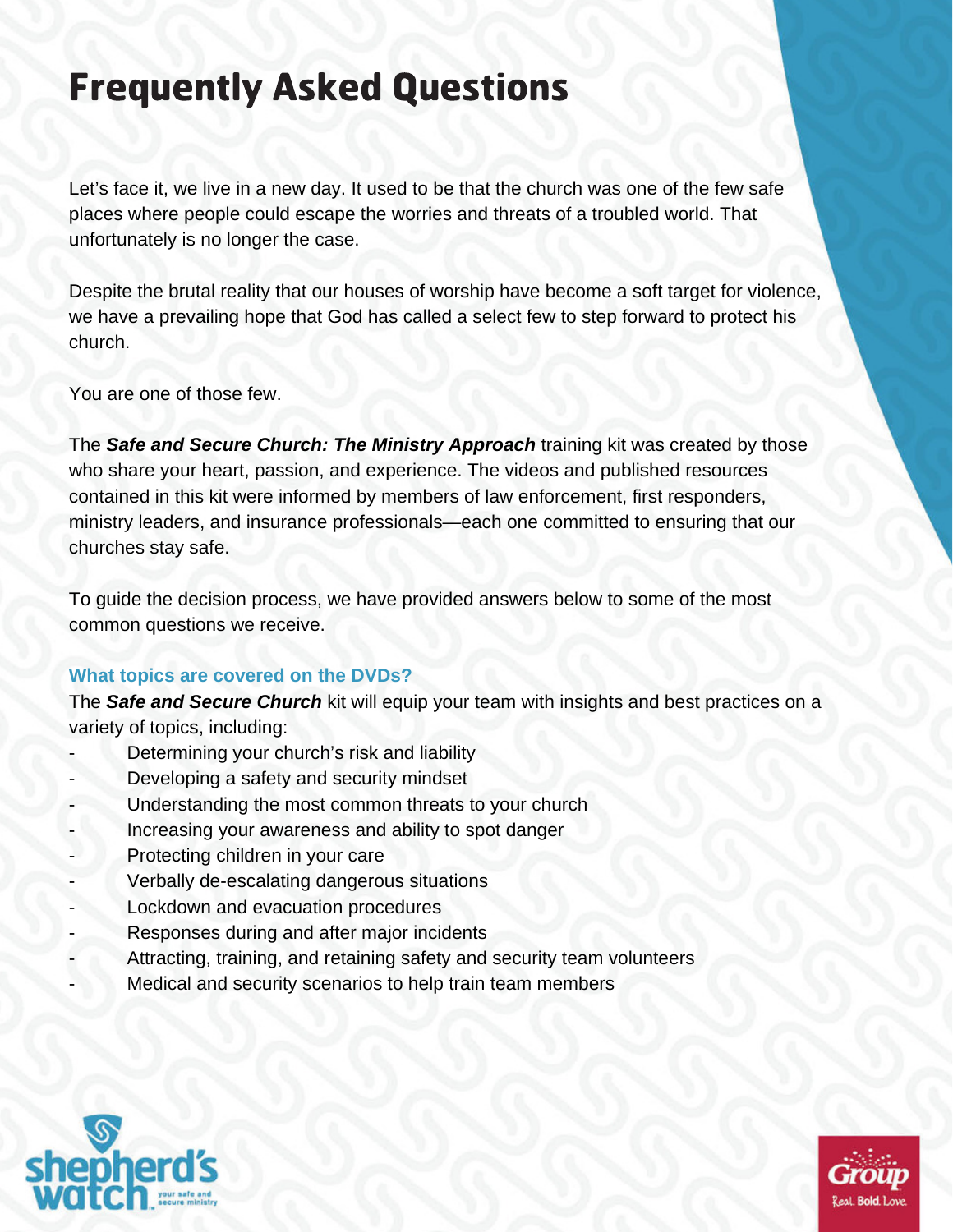# Frequently Asked Questions

Let's face it, we live in a new day. It used to be that the church was one of the few safe places where people could escape the worries and threats of a troubled world. That unfortunately is no longer the case.

Despite the brutal reality that our houses of worship have become a soft target for violence, we have a prevailing hope that God has called a select few to step forward to protect his church.

You are one of those few.

The *Safe and Secure Church: The Ministry Approach* training kit was created by those who share your heart, passion, and experience. The videos and published resources contained in this kit were informed by members of law enforcement, first responders, ministry leaders, and insurance professionals—each one committed to ensuring that our churches stay safe.

To guide the decision process, we have provided answers below to some of the most common questions we receive.

# **What topics are covered on the DVDs?**

The *Safe and Secure Church* kit will equip your team with insights and best practices on a variety of topics, including:

- Determining your church's risk and liability
- Developing a safety and security mindset
- Understanding the most common threats to your church
- Increasing your awareness and ability to spot danger
- Protecting children in your care
- Verbally de-escalating dangerous situations
- Lockdown and evacuation procedures
- Responses during and after major incidents
- Attracting, training, and retaining safety and security team volunteers
- Medical and security scenarios to help train team members